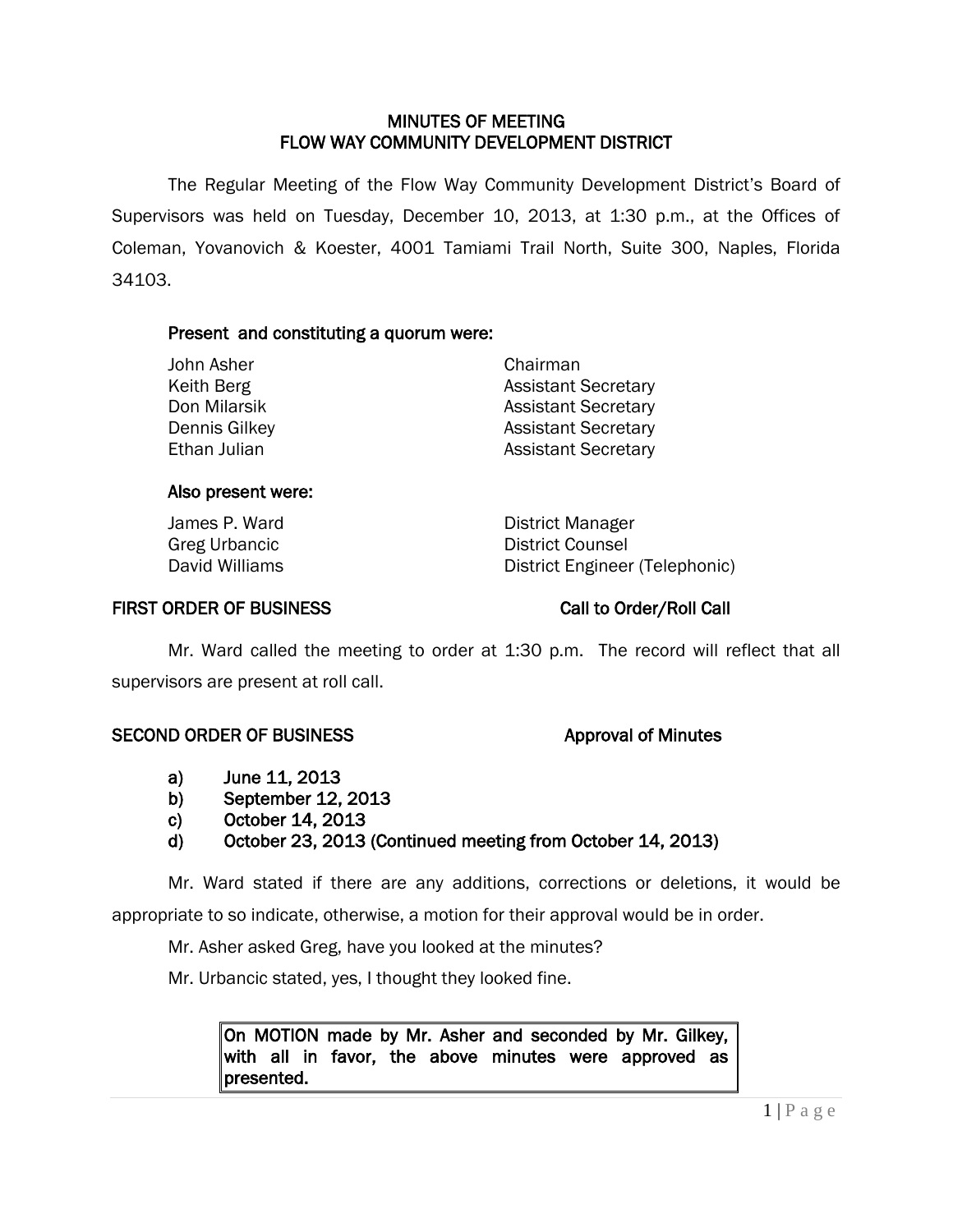## MINUTES OF MEETING FLOW WAY COMMUNITY DEVELOPMENT DISTRICT

 The Regular Meeting of the Flow Way Community Development District's Board of Supervisors was held on Tuesday, December 10, 2013, at 1:30 p.m., at the Offices of Coleman, Yovanovich & Koester, 4001 Tamiami Trail North, Suite 300, Naples, Florida 34103.

## Present and constituting a quorum were:

| John Asher    | Chairman                   |
|---------------|----------------------------|
| Keith Berg    | <b>Assistant Secretary</b> |
| Don Milarsik  | <b>Assistant Secretary</b> |
| Dennis Gilkey | <b>Assistant Secretary</b> |
| Ethan Julian  | <b>Assistant Secretary</b> |

### Also present were:

James P. Ward **District Manager** Greg Urbancic and Counsel District Counsel<br>
District Engineer<br>
District Engineer District Engineer (Telephonic)

### FIRST ORDER OF BUSINESS Call to Order/Roll Call

Mr. Ward called the meeting to order at 1:30 p.m. The record will reflect that all supervisors are present at roll call.

### SECOND ORDER OF BUSINESS Approval of Minutes

- a) June 11, 2013
- b) September 12, 2013
- c) October 14, 2013
- d) October 23, 2013 (Continued meeting from October 14, 2013)

Mr. Ward stated if there are any additions, corrections or deletions, it would be appropriate to so indicate, otherwise, a motion for their approval would be in order.

Mr. Asher asked Greg, have you looked at the minutes?

Mr. Urbancic stated, yes, I thought they looked fine.

On MOTION made by Mr. Asher and seconded by Mr. Gilkey, with all in favor, the above minutes were approved as presented.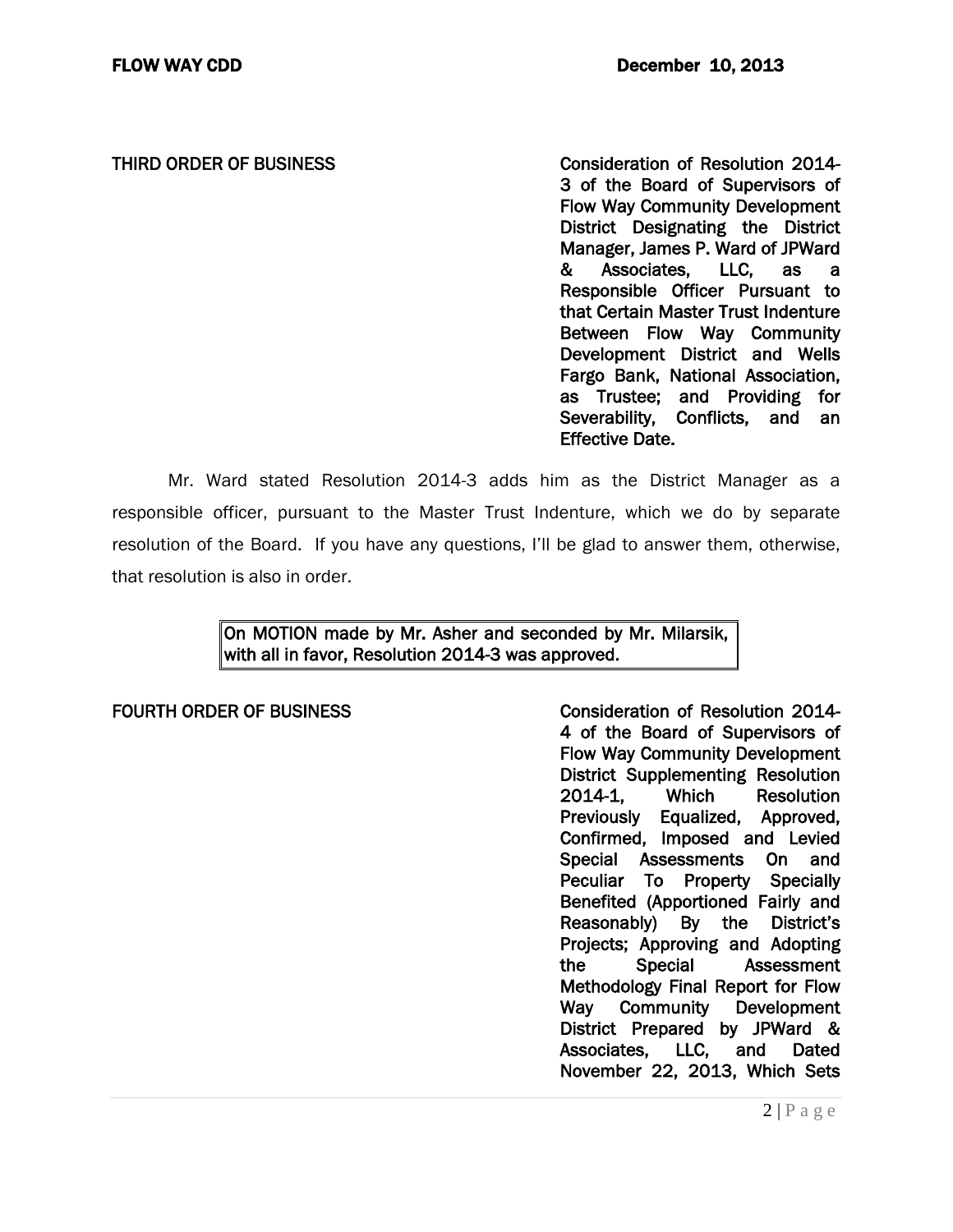THIRD ORDER OF BUSINESS **Consideration of Resolution 2014** 3 of the Board of Supervisors of Flow Way Community Development District Designating the District Manager, James P. Ward of JPWard & Associates, LLC, as a Responsible Officer Pursuant to that Certain Master Trust Indenture Between Flow Way Community Development District and Wells Fargo Bank, National Association, as Trustee; and Providing for Severability, Conflicts, and an Effective Date.

Mr. Ward stated Resolution 2014-3 adds him as the District Manager as a responsible officer, pursuant to the Master Trust Indenture, which we do by separate resolution of the Board. If you have any questions, I'll be glad to answer them, otherwise, that resolution is also in order.

> On MOTION made by Mr. Asher and seconded by Mr. Milarsik, with all in favor, Resolution 2014-3 was approved.

FOURTH ORDER OF BUSINESS CONSIDERING Consideration of Resolution 2014-4 of the Board of Supervisors of Flow Way Community Development District Supplementing Resolution<br>2014-1, Which Resolution Resolution Previously Equalized, Approved, Confirmed, Imposed and Levied Special Assessments On and Peculiar To Property Specially Benefited (Apportioned Fairly and Reasonably) By the District's Projects; Approving and Adopting the Special Assessment Methodology Final Report for Flow Way Community Development District Prepared by JPWard & Associates, LLC, and Dated November 22, 2013, Which Sets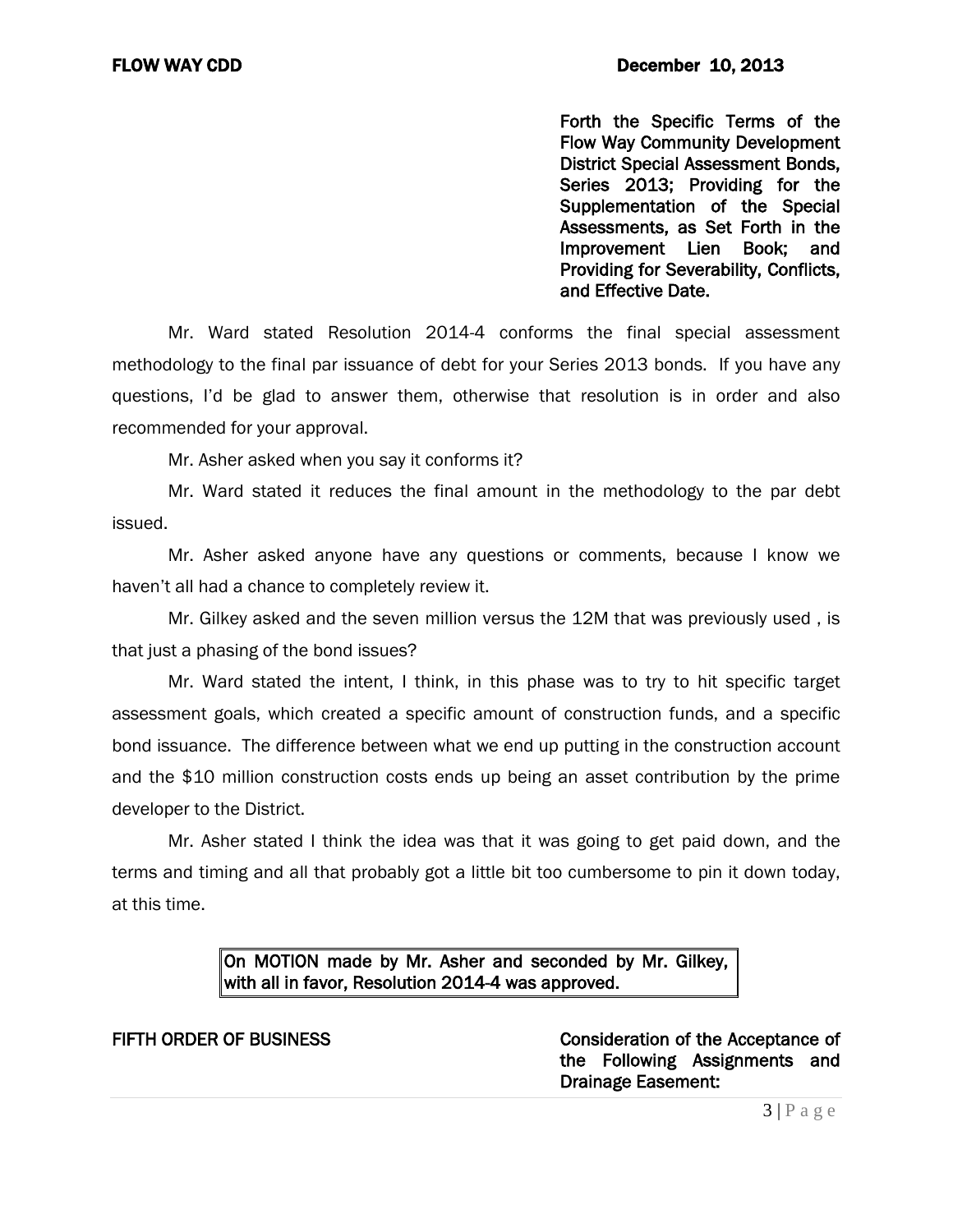Forth the Specific Terms of the Flow Way Community Development District Special Assessment Bonds, Series 2013; Providing for the Supplementation of the Special Assessments, as Set Forth in the Improvement Lien Book; and Providing for Severability, Conflicts, and Effective Date.

Mr. Ward stated Resolution 2014-4 conforms the final special assessment methodology to the final par issuance of debt for your Series 2013 bonds. If you have any questions, I'd be glad to answer them, otherwise that resolution is in order and also recommended for your approval.

Mr. Asher asked when you say it conforms it?

Mr. Ward stated it reduces the final amount in the methodology to the par debt issued.

Mr. Asher asked anyone have any questions or comments, because I know we haven't all had a chance to completely review it.

Mr. Gilkey asked and the seven million versus the 12M that was previously used , is that just a phasing of the bond issues?

Mr. Ward stated the intent, I think, in this phase was to try to hit specific target assessment goals, which created a specific amount of construction funds, and a specific bond issuance. The difference between what we end up putting in the construction account and the \$10 million construction costs ends up being an asset contribution by the prime developer to the District.

Mr. Asher stated I think the idea was that it was going to get paid down, and the terms and timing and all that probably got a little bit too cumbersome to pin it down today, at this time.

## On MOTION made by Mr. Asher and seconded by Mr. Gilkey, with all in favor, Resolution 2014-4 was approved.

FIFTH ORDER OF BUSINESS **Consideration of the Acceptance of** the Following Assignments and Drainage Easement: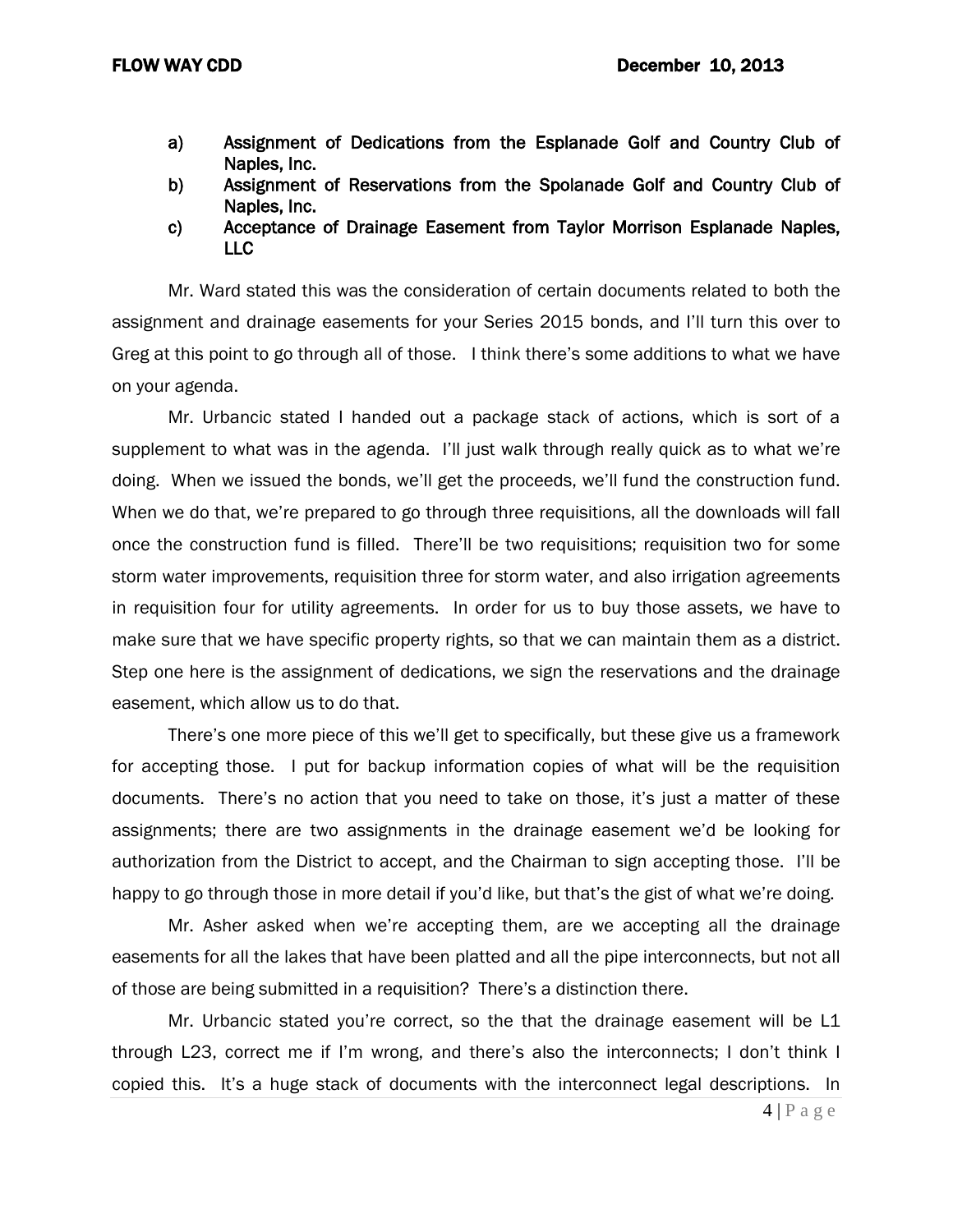- a) Assignment of Dedications from the Esplanade Golf and Country Club of Naples, Inc.
- b) Assignment of Reservations from the Spolanade Golf and Country Club of Naples, Inc.
- c) Acceptance of Drainage Easement from Taylor Morrison Esplanade Naples, LLC

Mr. Ward stated this was the consideration of certain documents related to both the assignment and drainage easements for your Series 2015 bonds, and I'll turn this over to Greg at this point to go through all of those. I think there's some additions to what we have on your agenda.

Mr. Urbancic stated I handed out a package stack of actions, which is sort of a supplement to what was in the agenda. I'll just walk through really quick as to what we're doing. When we issued the bonds, we'll get the proceeds, we'll fund the construction fund. When we do that, we're prepared to go through three requisitions, all the downloads will fall once the construction fund is filled. There'll be two requisitions; requisition two for some storm water improvements, requisition three for storm water, and also irrigation agreements in requisition four for utility agreements. In order for us to buy those assets, we have to make sure that we have specific property rights, so that we can maintain them as a district. Step one here is the assignment of dedications, we sign the reservations and the drainage easement, which allow us to do that.

There's one more piece of this we'll get to specifically, but these give us a framework for accepting those. I put for backup information copies of what will be the requisition documents. There's no action that you need to take on those, it's just a matter of these assignments; there are two assignments in the drainage easement we'd be looking for authorization from the District to accept, and the Chairman to sign accepting those. I'll be happy to go through those in more detail if you'd like, but that's the gist of what we're doing.

Mr. Asher asked when we're accepting them, are we accepting all the drainage easements for all the lakes that have been platted and all the pipe interconnects, but not all of those are being submitted in a requisition? There's a distinction there.

Mr. Urbancic stated you're correct, so the that the drainage easement will be L1 through L23, correct me if I'm wrong, and there's also the interconnects; I don't think I copied this. It's a huge stack of documents with the interconnect legal descriptions. In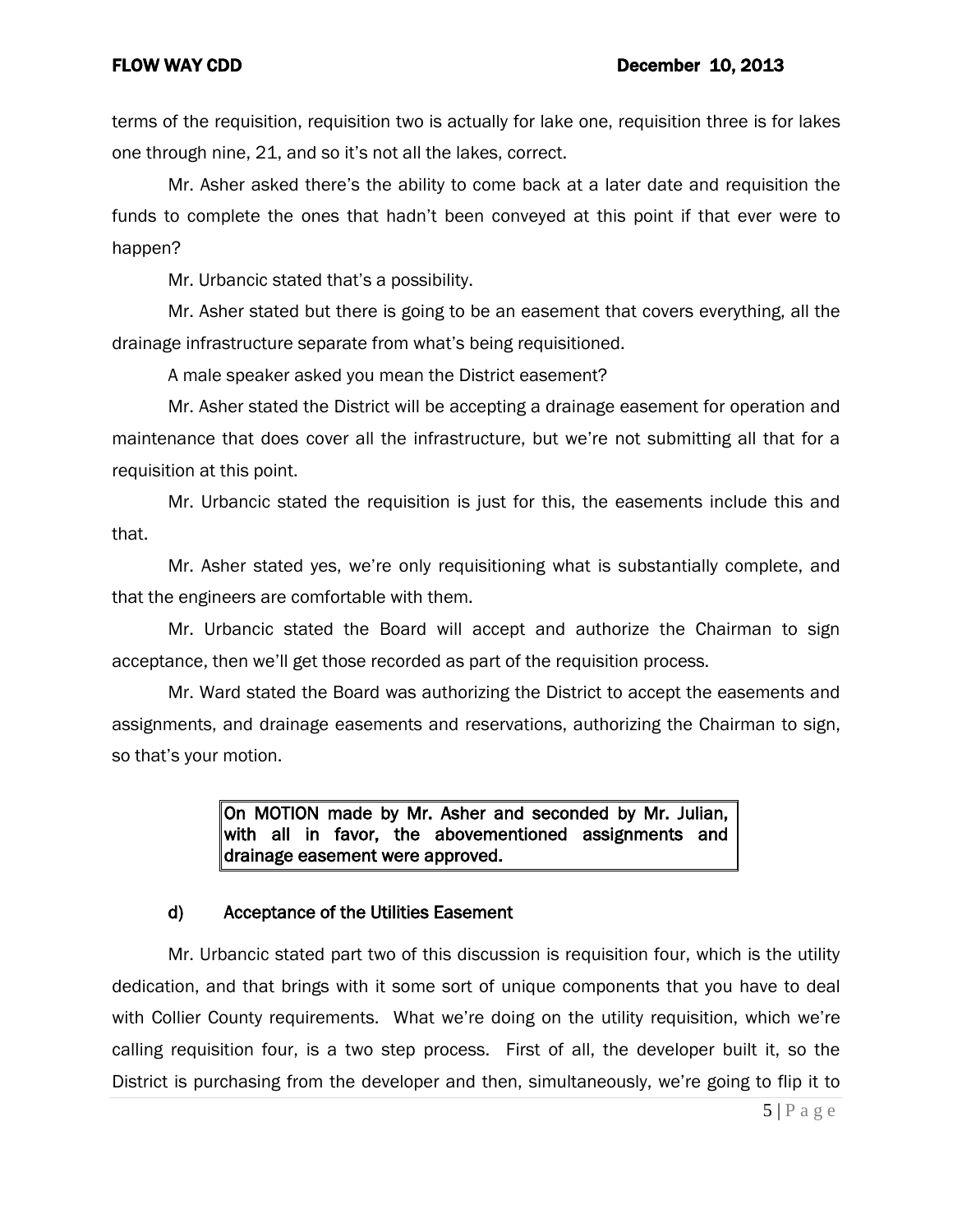terms of the requisition, requisition two is actually for lake one, requisition three is for lakes one through nine, 21, and so it's not all the lakes, correct.

Mr. Asher asked there's the ability to come back at a later date and requisition the funds to complete the ones that hadn't been conveyed at this point if that ever were to happen?

Mr. Urbancic stated that's a possibility.

Mr. Asher stated but there is going to be an easement that covers everything, all the drainage infrastructure separate from what's being requisitioned.

A male speaker asked you mean the District easement?

Mr. Asher stated the District will be accepting a drainage easement for operation and maintenance that does cover all the infrastructure, but we're not submitting all that for a requisition at this point.

Mr. Urbancic stated the requisition is just for this, the easements include this and that.

Mr. Asher stated yes, we're only requisitioning what is substantially complete, and that the engineers are comfortable with them.

Mr. Urbancic stated the Board will accept and authorize the Chairman to sign acceptance, then we'll get those recorded as part of the requisition process.

Mr. Ward stated the Board was authorizing the District to accept the easements and assignments, and drainage easements and reservations, authorizing the Chairman to sign, so that's your motion.

> On MOTION made by Mr. Asher and seconded by Mr. Julian, with all in favor, the abovementioned assignments and drainage easement were approved.

## d) Acceptance of the Utilities Easement

Mr. Urbancic stated part two of this discussion is requisition four, which is the utility dedication, and that brings with it some sort of unique components that you have to deal with Collier County requirements. What we're doing on the utility requisition, which we're calling requisition four, is a two step process. First of all, the developer built it, so the District is purchasing from the developer and then, simultaneously, we're going to flip it to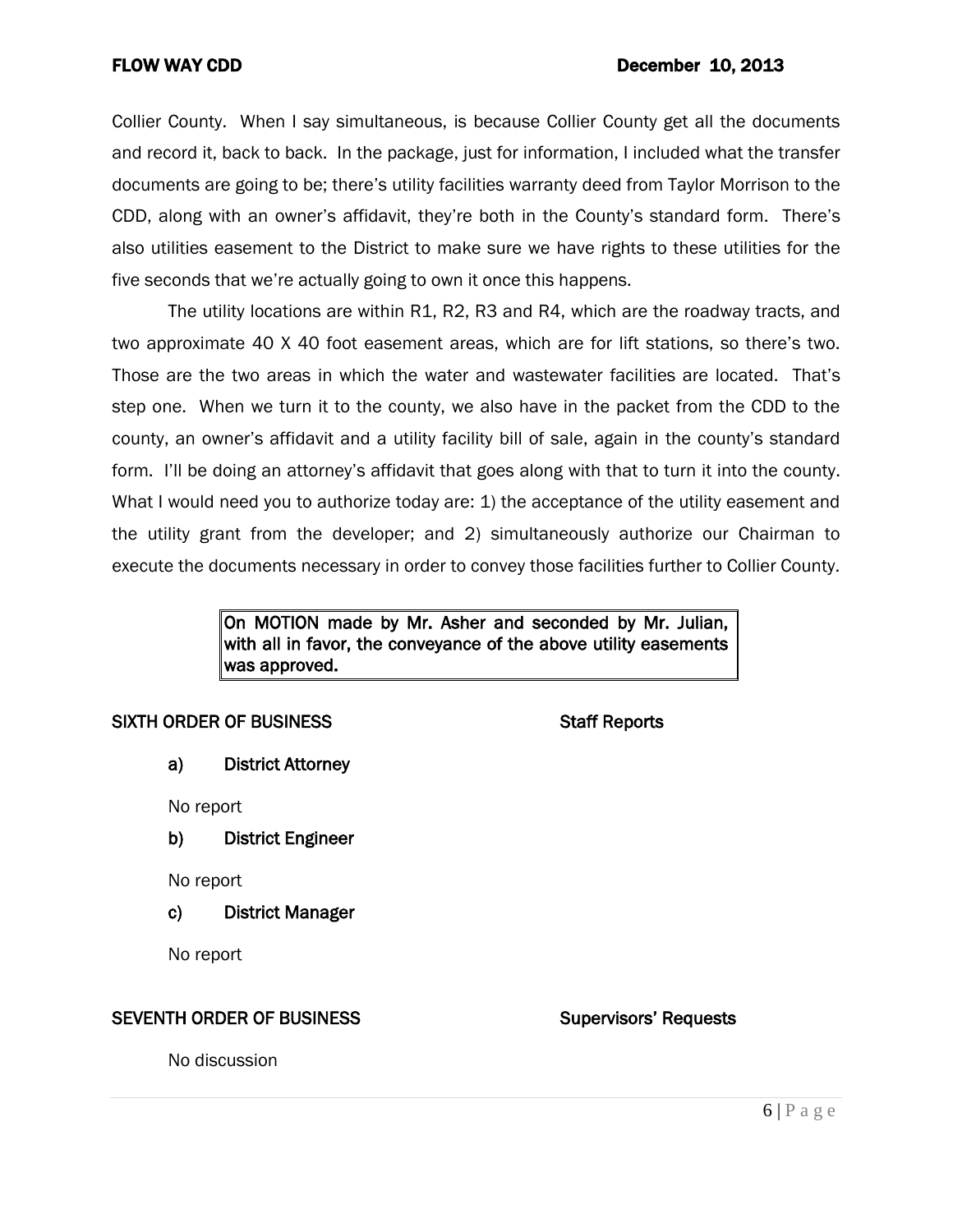Collier County. When I say simultaneous, is because Collier County get all the documents and record it, back to back. In the package, just for information, I included what the transfer documents are going to be; there's utility facilities warranty deed from Taylor Morrison to the CDD, along with an owner's affidavit, they're both in the County's standard form. There's also utilities easement to the District to make sure we have rights to these utilities for the five seconds that we're actually going to own it once this happens.

The utility locations are within R1, R2, R3 and R4, which are the roadway tracts, and two approximate 40 X 40 foot easement areas, which are for lift stations, so there's two. Those are the two areas in which the water and wastewater facilities are located. That's step one. When we turn it to the county, we also have in the packet from the CDD to the county, an owner's affidavit and a utility facility bill of sale, again in the county's standard form. I'll be doing an attorney's affidavit that goes along with that to turn it into the county. What I would need you to authorize today are: 1) the acceptance of the utility easement and the utility grant from the developer; and 2) simultaneously authorize our Chairman to execute the documents necessary in order to convey those facilities further to Collier County.

## On MOTION made by Mr. Asher and seconded by Mr. Julian, with all in favor, the conveyance of the above utility easements was approved.

## SIXTH ORDER OF BUSINESS STATES STAFF Reports

a) District Attorney

No report

b) District Engineer

No report

c) District Manager

No report

## SEVENTH ORDER OF BUSINESS Supervisors' Requests

No discussion